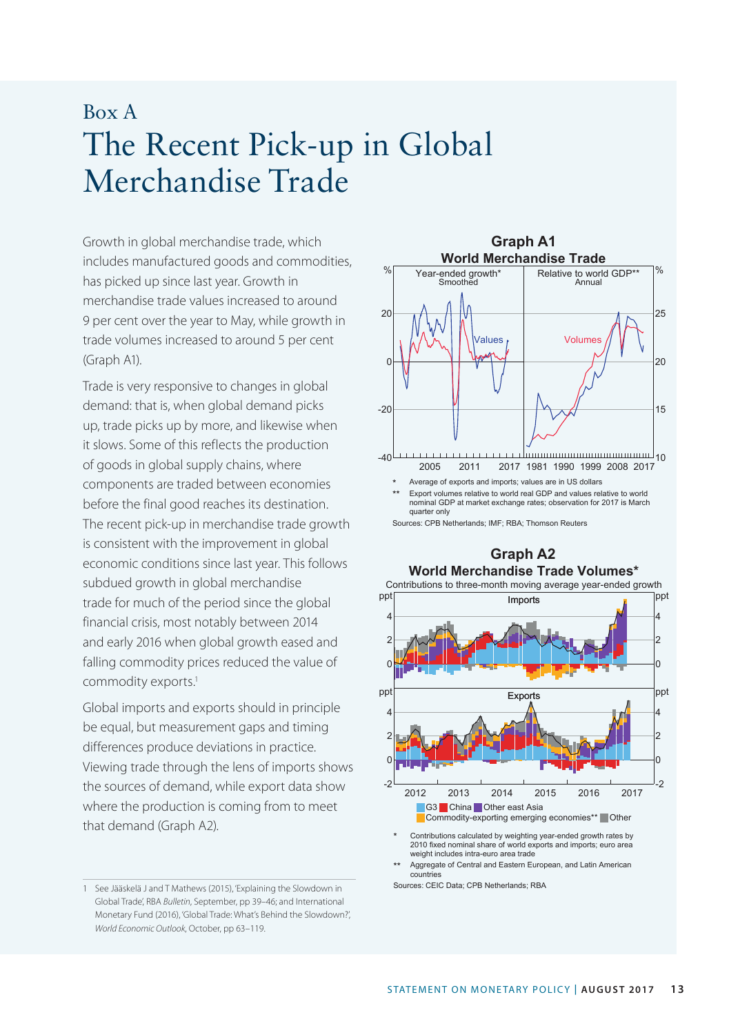## Box A The Recent Pick-up in Global Merchandise Trade

Growth in global merchandise trade, which **Graph A1** includes manufactured goods and commodities, has picked up since last year. Growth in merchandise trade values increased to around 9 per cent over the year to May, while growth in trade volumes increased to around 5 per cent (Graph A1).

Trade is very responsive to changes in global demand: that is, when global demand picks up, trade picks up by more, and likewise when it slows. Some of this reflects the production of goods in global supply chains, where components are traded between economies before the final good reaches its destination. The recent pick-up in merchandise trade growth is consistent with the improvement in global economic conditions since last year. This follows subdued growth in global merchandise trade for much of the period since the global financial crisis, most notably between 2014 and early 2016 when global growth eased and falling commodity prices reduced the value of commodity exports.<sup>1</sup>

Global imports and exports should in principle be equal, but measurement gaps and timing differences produce deviations in practice. Viewing trade through the lens of imports shows the sources of demand, while export data show where the production is coming from to meet that demand (Graph A2).



Sources: CPB Netherlands; IMF; RBA; Thomson Reuters

## **Graph A2 World Merchandise Trade Volumes\*** Contributions to three-month moving average year-ended growth Imports 0 2 4 ppt  $\Omega$ 2 4 ppt Exports 2012 2013 2014 2015 2016 2017 -2 0 2 4 ppt -2  $\overline{0}$  $\overline{2}$ 4 ppt **G3** China Other east Asia **Commodity-exporting emerging economies\*\*** Other

\* Contributions calculated by weighting year-ended growth rates by 2010 fixed nominal share of world exports and imports; euro area weight includes intra-euro area trade

Aggregate of Central and Eastern European, and Latin American countries

Sources: CEIC Data; CPB Netherlands; RBA

<sup>1</sup> See Jääskelä J and T Mathews (2015), 'Explaining the Slowdown in Global Trade', RBA *Bulletin*, September, pp 39–46; and International Monetary Fund (2016), 'Global Trade: What's Behind the Slowdown?', *World Economic Outlook*, October, pp 63–119.